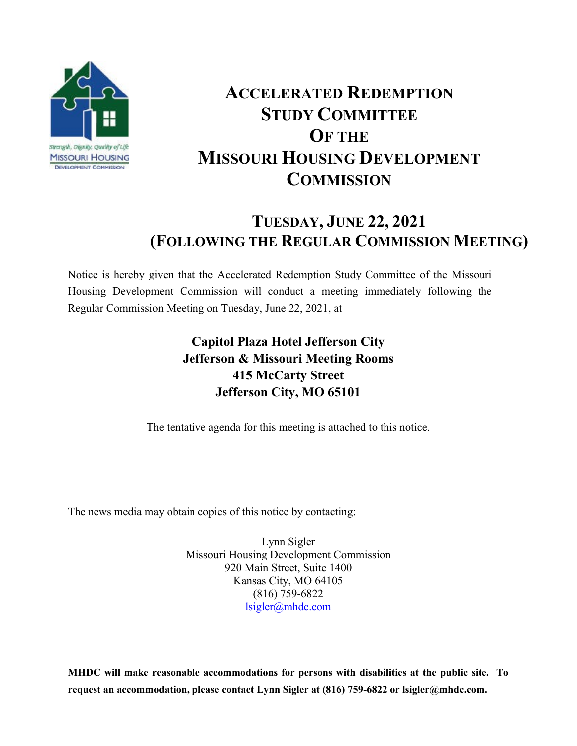

# **ACCELERATED REDEMPTION STUDY COMMITTEE OF THE MISSOURI HOUSING DEVELOPMENT COMMISSION**

## **TUESDAY, JUNE 22, 2021 (FOLLOWING THE REGULAR COMMISSION MEETING)**

Notice is hereby given that the Accelerated Redemption Study Committee of the Missouri Housing Development Commission will conduct a meeting immediately following the Regular Commission Meeting on Tuesday, June 22, 2021, at

### **Capitol Plaza Hotel Jefferson City Jefferson & Missouri Meeting Rooms 415 McCarty Street Jefferson City, MO 65101**

The tentative agenda for this meeting is attached to this notice.

The news media may obtain copies of this notice by contacting:

Lynn Sigler Missouri Housing Development Commission 920 Main Street, Suite 1400 Kansas City, MO 64105 (816) 759-6822 lsigler@mhdc.com

**MHDC will make reasonable accommodations for persons with disabilities at the public site. To request an accommodation, please contact Lynn Sigler at (816) 759-6822 or lsigler@mhdc.com.**